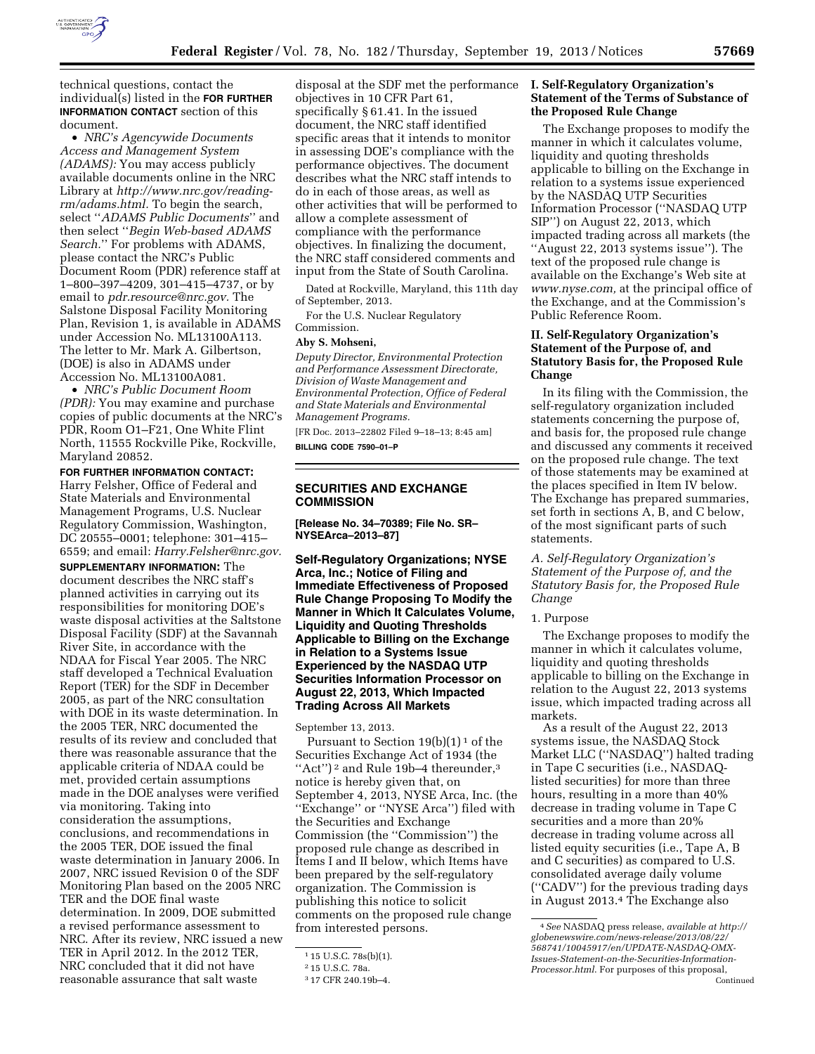

technical questions, contact the individual(s) listed in the **FOR FURTHER INFORMATION CONTACT** section of this document.

• *NRC's Agencywide Documents Access and Management System (ADAMS):* You may access publicly available documents online in the NRC Library at *[http://www.nrc.gov/reading](http://www.nrc.gov/reading-rm/adams.html)[rm/adams.html.](http://www.nrc.gov/reading-rm/adams.html)* To begin the search, select ''*ADAMS Public Documents*'' and then select ''*Begin Web-based ADAMS Search.*'' For problems with ADAMS, please contact the NRC's Public Document Room (PDR) reference staff at 1–800–397–4209, 301–415–4737, or by email to *[pdr.resource@nrc.gov.](mailto:pdr.resource@nrc.gov)* The Salstone Disposal Facility Monitoring Plan, Revision 1, is available in ADAMS under Accession No. ML13100A113. The letter to Mr. Mark A. Gilbertson, (DOE) is also in ADAMS under Accession No. ML13100A081.

• *NRC's Public Document Room (PDR):* You may examine and purchase copies of public documents at the NRC's PDR, Room O1–F21, One White Flint North, 11555 Rockville Pike, Rockville, Maryland 20852.

# **FOR FURTHER INFORMATION CONTACT:**

Harry Felsher, Office of Federal and State Materials and Environmental Management Programs, U.S. Nuclear Regulatory Commission, Washington, DC 20555–0001; telephone: 301–415– 6559; and email: *[Harry.Felsher@nrc.gov.](mailto:Harry.Felsher@nrc.gov)* 

**SUPPLEMENTARY INFORMATION:** The document describes the NRC staff's planned activities in carrying out its responsibilities for monitoring DOE's waste disposal activities at the Saltstone Disposal Facility (SDF) at the Savannah River Site, in accordance with the NDAA for Fiscal Year 2005. The NRC staff developed a Technical Evaluation Report (TER) for the SDF in December 2005, as part of the NRC consultation with DOE in its waste determination. In the 2005 TER, NRC documented the results of its review and concluded that there was reasonable assurance that the applicable criteria of NDAA could be met, provided certain assumptions made in the DOE analyses were verified via monitoring. Taking into consideration the assumptions, conclusions, and recommendations in the 2005 TER, DOE issued the final waste determination in January 2006. In 2007, NRC issued Revision 0 of the SDF Monitoring Plan based on the 2005 NRC TER and the DOE final waste determination. In 2009, DOE submitted a revised performance assessment to NRC. After its review, NRC issued a new TER in April 2012. In the 2012 TER, NRC concluded that it did not have reasonable assurance that salt waste

disposal at the SDF met the performance objectives in 10 CFR Part 61, specifically § 61.41. In the issued document, the NRC staff identified specific areas that it intends to monitor in assessing DOE's compliance with the performance objectives. The document describes what the NRC staff intends to do in each of those areas, as well as other activities that will be performed to allow a complete assessment of compliance with the performance objectives. In finalizing the document, the NRC staff considered comments and input from the State of South Carolina.

Dated at Rockville, Maryland, this 11th day of September, 2013.

For the U.S. Nuclear Regulatory Commission.

# **Aby S. Mohseni,**

*Deputy Director, Environmental Protection and Performance Assessment Directorate, Division of Waste Management and Environmental Protection, Office of Federal and State Materials and Environmental Management Programs.* 

[FR Doc. 2013–22802 Filed 9–18–13; 8:45 am] **BILLING CODE 7590–01–P** 

## **SECURITIES AND EXCHANGE COMMISSION**

**[Release No. 34–70389; File No. SR– NYSEArca–2013–87]** 

**Self-Regulatory Organizations; NYSE Arca, Inc.; Notice of Filing and Immediate Effectiveness of Proposed Rule Change Proposing To Modify the Manner in Which It Calculates Volume, Liquidity and Quoting Thresholds Applicable to Billing on the Exchange in Relation to a Systems Issue Experienced by the NASDAQ UTP Securities Information Processor on August 22, 2013, Which Impacted Trading Across All Markets** 

September 13, 2013.

Pursuant to Section  $19(b)(1)^1$  of the Securities Exchange Act of 1934 (the "Act")<sup>2</sup> and Rule 19b-4 thereunder,<sup>3</sup> notice is hereby given that, on September 4, 2013, NYSE Arca, Inc. (the ''Exchange'' or ''NYSE Arca'') filed with the Securities and Exchange Commission (the ''Commission'') the proposed rule change as described in Items I and II below, which Items have been prepared by the self-regulatory organization. The Commission is publishing this notice to solicit comments on the proposed rule change from interested persons.

### **I. Self-Regulatory Organization's Statement of the Terms of Substance of the Proposed Rule Change**

The Exchange proposes to modify the manner in which it calculates volume, liquidity and quoting thresholds applicable to billing on the Exchange in relation to a systems issue experienced by the NASDAQ UTP Securities Information Processor (''NASDAQ UTP SIP'') on August 22, 2013, which impacted trading across all markets (the ''August 22, 2013 systems issue''). The text of the proposed rule change is available on the Exchange's Web site at *[www.nyse.com,](http://www.nyse.com)* at the principal office of the Exchange, and at the Commission's Public Reference Room.

# **II. Self-Regulatory Organization's Statement of the Purpose of, and Statutory Basis for, the Proposed Rule Change**

In its filing with the Commission, the self-regulatory organization included statements concerning the purpose of, and basis for, the proposed rule change and discussed any comments it received on the proposed rule change. The text of those statements may be examined at the places specified in Item IV below. The Exchange has prepared summaries, set forth in sections A, B, and C below, of the most significant parts of such statements.

*A. Self-Regulatory Organization's Statement of the Purpose of, and the Statutory Basis for, the Proposed Rule Change* 

#### 1. Purpose

The Exchange proposes to modify the manner in which it calculates volume, liquidity and quoting thresholds applicable to billing on the Exchange in relation to the August 22, 2013 systems issue, which impacted trading across all markets.

As a result of the August 22, 2013 systems issue, the NASDAQ Stock Market LLC (''NASDAQ'') halted trading in Tape C securities (i.e., NASDAQlisted securities) for more than three hours, resulting in a more than 40% decrease in trading volume in Tape C securities and a more than 20% decrease in trading volume across all listed equity securities (i.e., Tape A, B and C securities) as compared to U.S. consolidated average daily volume (''CADV'') for the previous trading days in August 2013.4 The Exchange also

<sup>1</sup> 15 U.S.C. 78s(b)(1).

<sup>2</sup> 15 U.S.C. 78a.

<sup>3</sup> 17 CFR 240.19b–4.

<sup>4</sup>*See* NASDAQ press release, *available at [http://](http://globenewswire.com/news-release/2013/08/22/568741/10045917/en/UPDATE-NASDAQ-OMX-Issues-Statement-on-the-Securities-Information-Processor.html) [globenewswire.com/news-release/2013/08/22/](http://globenewswire.com/news-release/2013/08/22/568741/10045917/en/UPDATE-NASDAQ-OMX-Issues-Statement-on-the-Securities-Information-Processor.html) [568741/10045917/en/UPDATE-NASDAQ-OMX-](http://globenewswire.com/news-release/2013/08/22/568741/10045917/en/UPDATE-NASDAQ-OMX-Issues-Statement-on-the-Securities-Information-Processor.html)[Issues-Statement-on-the-Securities-Information-](http://globenewswire.com/news-release/2013/08/22/568741/10045917/en/UPDATE-NASDAQ-OMX-Issues-Statement-on-the-Securities-Information-Processor.html)[Processor.html](http://globenewswire.com/news-release/2013/08/22/568741/10045917/en/UPDATE-NASDAQ-OMX-Issues-Statement-on-the-Securities-Information-Processor.html)*. For purposes of this proposal, Continued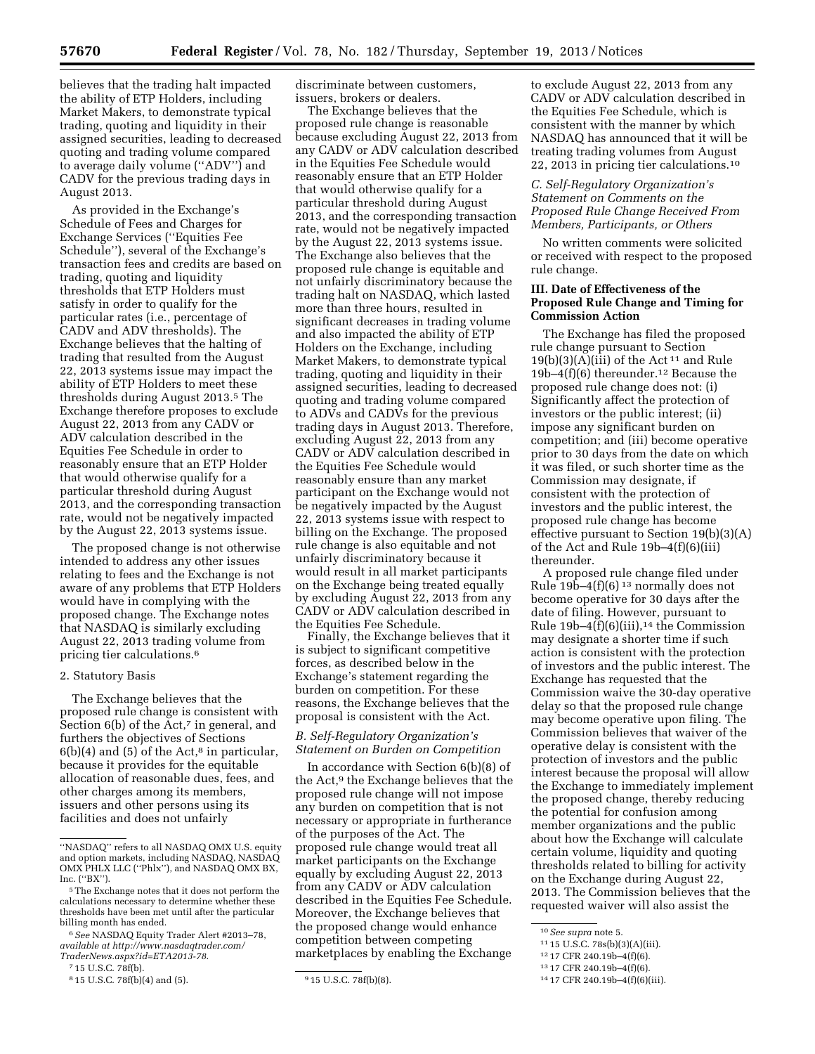believes that the trading halt impacted the ability of ETP Holders, including Market Makers, to demonstrate typical trading, quoting and liquidity in their assigned securities, leading to decreased quoting and trading volume compared to average daily volume (''ADV'') and CADV for the previous trading days in August 2013.

As provided in the Exchange's Schedule of Fees and Charges for Exchange Services (''Equities Fee Schedule''), several of the Exchange's transaction fees and credits are based on trading, quoting and liquidity thresholds that ETP Holders must satisfy in order to qualify for the particular rates (i.e., percentage of CADV and ADV thresholds). The Exchange believes that the halting of trading that resulted from the August 22, 2013 systems issue may impact the ability of ETP Holders to meet these thresholds during August 2013.5 The Exchange therefore proposes to exclude August 22, 2013 from any CADV or ADV calculation described in the Equities Fee Schedule in order to reasonably ensure that an ETP Holder that would otherwise qualify for a particular threshold during August 2013, and the corresponding transaction rate, would not be negatively impacted by the August 22, 2013 systems issue.

The proposed change is not otherwise intended to address any other issues relating to fees and the Exchange is not aware of any problems that ETP Holders would have in complying with the proposed change. The Exchange notes that NASDAQ is similarly excluding August 22, 2013 trading volume from pricing tier calculations.6

#### 2. Statutory Basis

The Exchange believes that the proposed rule change is consistent with Section 6(b) of the Act,<sup>7</sup> in general, and furthers the objectives of Sections  $6(b)(4)$  and  $(5)$  of the Act,<sup>8</sup> in particular, because it provides for the equitable allocation of reasonable dues, fees, and other charges among its members, issuers and other persons using its facilities and does not unfairly

discriminate between customers, issuers, brokers or dealers.

The Exchange believes that the proposed rule change is reasonable because excluding August 22, 2013 from any CADV or ADV calculation described in the Equities Fee Schedule would reasonably ensure that an ETP Holder that would otherwise qualify for a particular threshold during August 2013, and the corresponding transaction rate, would not be negatively impacted by the August 22, 2013 systems issue. The Exchange also believes that the proposed rule change is equitable and not unfairly discriminatory because the trading halt on NASDAQ, which lasted more than three hours, resulted in significant decreases in trading volume and also impacted the ability of ETP Holders on the Exchange, including Market Makers, to demonstrate typical trading, quoting and liquidity in their assigned securities, leading to decreased quoting and trading volume compared to ADVs and CADVs for the previous trading days in August 2013. Therefore, excluding August 22, 2013 from any CADV or ADV calculation described in the Equities Fee Schedule would reasonably ensure than any market participant on the Exchange would not be negatively impacted by the August 22, 2013 systems issue with respect to billing on the Exchange. The proposed rule change is also equitable and not unfairly discriminatory because it would result in all market participants on the Exchange being treated equally by excluding August 22, 2013 from any CADV or ADV calculation described in the Equities Fee Schedule.

Finally, the Exchange believes that it is subject to significant competitive forces, as described below in the Exchange's statement regarding the burden on competition. For these reasons, the Exchange believes that the proposal is consistent with the Act.

# *B. Self-Regulatory Organization's Statement on Burden on Competition*

In accordance with Section 6(b)(8) of the Act,9 the Exchange believes that the proposed rule change will not impose any burden on competition that is not necessary or appropriate in furtherance of the purposes of the Act. The proposed rule change would treat all market participants on the Exchange equally by excluding August 22, 2013 from any CADV or ADV calculation described in the Equities Fee Schedule. Moreover, the Exchange believes that the proposed change would enhance competition between competing marketplaces by enabling the Exchange

to exclude August 22, 2013 from any CADV or ADV calculation described in the Equities Fee Schedule, which is consistent with the manner by which NASDAQ has announced that it will be treating trading volumes from August 22, 2013 in pricing tier calculations.10

### *C. Self-Regulatory Organization's Statement on Comments on the Proposed Rule Change Received From Members, Participants, or Others*

No written comments were solicited or received with respect to the proposed rule change.

## **III. Date of Effectiveness of the Proposed Rule Change and Timing for Commission Action**

The Exchange has filed the proposed rule change pursuant to Section  $19(b)(3)(A)(iii)$  of the Act<sup>11</sup> and Rule 19b–4 $(f)(6)$  thereunder.<sup>12</sup> Because the proposed rule change does not: (i) Significantly affect the protection of investors or the public interest; (ii) impose any significant burden on competition; and (iii) become operative prior to 30 days from the date on which it was filed, or such shorter time as the Commission may designate, if consistent with the protection of investors and the public interest, the proposed rule change has become effective pursuant to Section 19(b)(3)(A) of the Act and Rule 19b–4(f)(6)(iii) thereunder.

A proposed rule change filed under Rule  $19b-4(f)(6)^{13}$  normally does not become operative for 30 days after the date of filing. However, pursuant to Rule  $19b-4(f)(6)(iii)$ ,<sup>14</sup> the Commission may designate a shorter time if such action is consistent with the protection of investors and the public interest. The Exchange has requested that the Commission waive the 30-day operative delay so that the proposed rule change may become operative upon filing. The Commission believes that waiver of the operative delay is consistent with the protection of investors and the public interest because the proposal will allow the Exchange to immediately implement the proposed change, thereby reducing the potential for confusion among member organizations and the public about how the Exchange will calculate certain volume, liquidity and quoting thresholds related to billing for activity on the Exchange during August 22, 2013. The Commission believes that the requested waiver will also assist the

11 15 U.S.C. 78s(b)(3)(A)(iii).

<sup>&#</sup>x27;'NASDAQ'' refers to all NASDAQ OMX U.S. equity and option markets, including NASDAQ, NASDAQ OMX PHLX LLC (''Phlx''), and NASDAQ OMX BX, Inc. (''BX'').

<sup>5</sup>The Exchange notes that it does not perform the calculations necessary to determine whether these thresholds have been met until after the particular billing month has ended.

<sup>6</sup>*See* NASDAQ Equity Trader Alert #2013–78, *available at [http://www.nasdaqtrader.com/](http://www.nasdaqtrader.com/TraderNews.aspx?id=ETA2013-78) [TraderNews.aspx?id=ETA2013-78](http://www.nasdaqtrader.com/TraderNews.aspx?id=ETA2013-78)*.

<sup>7</sup> 15 U.S.C. 78f(b).

<sup>&</sup>lt;sup>8</sup> 15 U.S.C. 78f(b)(4) and (5). 9 15 U.S.C. 78f(b)(8).

<sup>10</sup>*See supra* note 5.

<sup>12</sup> 17 CFR 240.19b–4(f)(6).

<sup>13</sup> 17 CFR 240.19b–4(f)(6).

<sup>14</sup> 17 CFR 240.19b–4(f)(6)(iii).